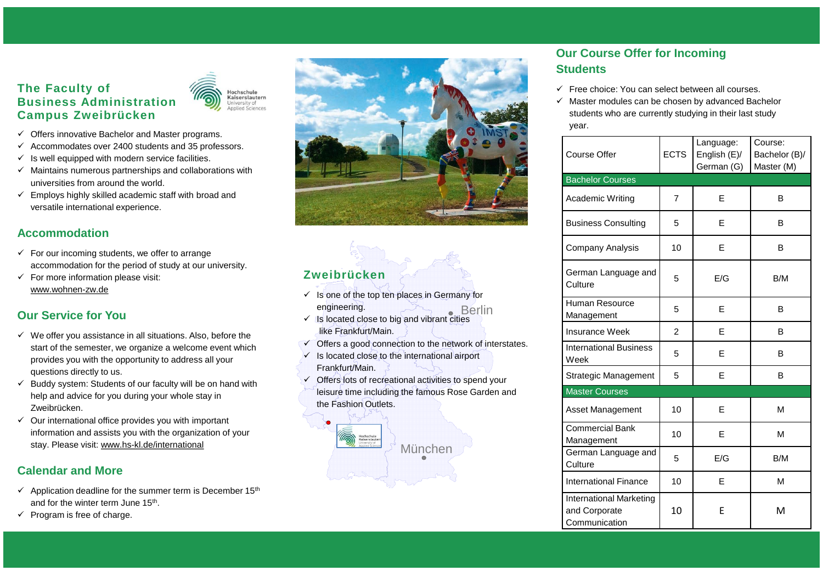#### **The Faculty of Business Administration Campus Zweibrücken**



- $\checkmark$  Offers innovative Bachelor and Master programs.
- $\checkmark$  Accommodates over 2400 students and 35 professors.
- $\checkmark$  Is well equipped with modern service facilities.
- $\checkmark$  Maintains numerous partnerships and collaborations with universities from around the world.
- $\checkmark$  Employs highly skilled academic staff with broad and versatile international experience.

#### **Accommodation**

- $\checkmark$  For our incoming students, we offer to arrange accommodation for the period of study at our university.
- $\checkmark$  For more information please visit: www.wohnen-zw.de

## **Our Service for You**

- $\checkmark$  We offer you assistance in all situations. Also, before the start of the semester, we organize a welcome event which provides you with the opportunity to address all your questions directly to us.
- $\checkmark$  Buddy system: Students of our faculty will be on hand with help and advice for you during your whole stay in Zweibrücken.
- $\checkmark$  Our international office provides you with important information and assists you with the organization of your stay. Please visit: www.hs-kl.de/international

#### **Calendar and More**

- $\checkmark$  Application deadline for the summer term is December 15<sup>th</sup> and for the winter term June 15<sup>th</sup>.
- $\checkmark$  Program is free of charge.



# **Zweibrücken**

- Berlin Berlin  $\checkmark$  Is one of the top ten places in Germany for engineering.
- $\checkmark$  Is located close to big and vibrant cities like Frankfurt/Main.
- $\checkmark$  Offers a good connection to the network of interstates.
- $\checkmark$  Is located close to the international airport Frankfurt/Main.
- $\checkmark$  Offers lots of recreational activities to spend your leisure time including the famous Rose Garden and the Fashion Outlets.

# München München

## **Our Course Offer for Incoming Students**

- Free choice: You can select between all courses.
- $\checkmark$  Master modules can be chosen by advanced Bachelor students who are currently studying in their last study year.

| Course Offer                                                     | <b>ECTS</b>    | Language:<br>English (E)/<br>German (G) | Course:<br>Bachelor (B)/<br>Master (M) |
|------------------------------------------------------------------|----------------|-----------------------------------------|----------------------------------------|
| <b>Bachelor Courses</b>                                          |                |                                         |                                        |
| Academic Writing                                                 | 7              | E                                       | B                                      |
| <b>Business Consulting</b>                                       | 5              | F                                       | В                                      |
| <b>Company Analysis</b>                                          | 10             | E                                       | в                                      |
| German Language and<br>Culture                                   | 5              | E/G                                     | B/M                                    |
| Human Resource<br>Management                                     | 5              | E                                       | B                                      |
| <b>Insurance Week</b>                                            | $\overline{2}$ | E                                       | В                                      |
| <b>International Business</b><br>Week                            | 5              | E                                       | В                                      |
| Strategic Management                                             | 5              | E                                       | В                                      |
| <b>Master Courses</b>                                            |                |                                         |                                        |
| Asset Management                                                 | 10             | E                                       | M                                      |
| <b>Commercial Bank</b><br>Management                             | 10             | E                                       | M                                      |
| German Language and<br>Culture                                   | 5              | E/G                                     | B/M                                    |
| <b>International Finance</b>                                     | 10             | E                                       | M                                      |
| <b>International Marketing</b><br>and Corporate<br>Communication | 10             | E                                       | M                                      |